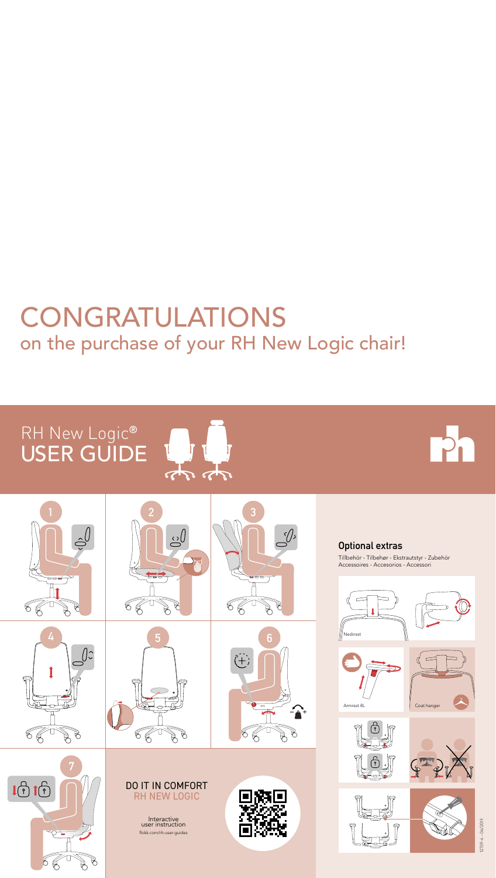## RH New Logic**®** USER GUIDE



# CONGRATULATIONS on the purchase of your RH New Logic chair!

## **Optional extras**

 $12709 - 6 - 04/2019$ 12709-6 – 04/2019

**7**  $1010$ 88  $\beta$  $\beta$  Tillbehör - Tilbehør - Ekstrautstyr - Zubehör Accessoires - Accesorios - Accessori



Interactive user instruction flokk.com/rh-user-guides











**P** 



 $\beta$ 





## DO IT IN COMFORT RH NEW LOGIC